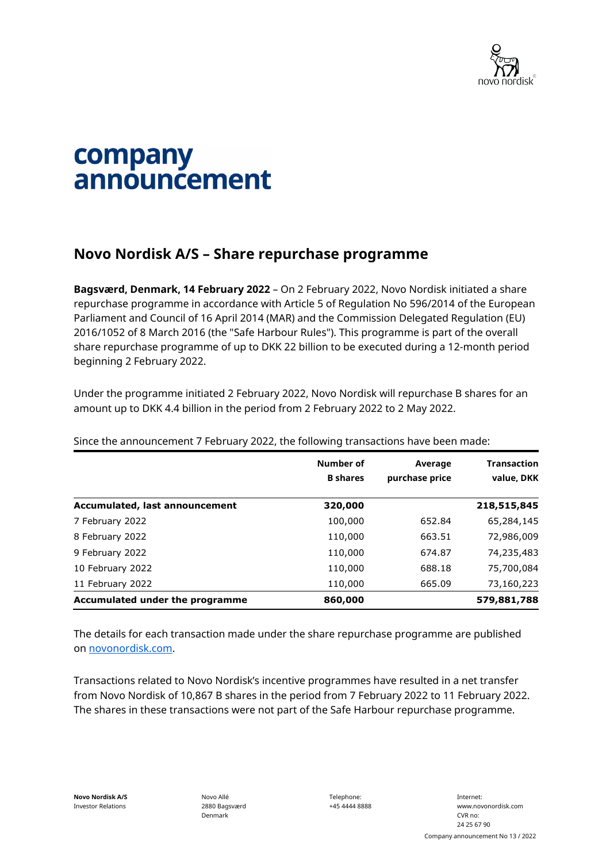

## company announcement

## **Novo Nordisk A/S – Share repurchase programme**

**Bagsværd, Denmark, 14 February 2022** – On 2 February 2022, Novo Nordisk initiated a share repurchase programme in accordance with Article 5 of Regulation No 596/2014 of the European Parliament and Council of 16 April 2014 (MAR) and the Commission Delegated Regulation (EU) 2016/1052 of 8 March 2016 (the "Safe Harbour Rules"). This programme is part of the overall share repurchase programme of up to DKK 22 billion to be executed during a 12-month period beginning 2 February 2022.

Under the programme initiated 2 February 2022, Novo Nordisk will repurchase B shares for an amount up to DKK 4.4 billion in the period from 2 February 2022 to 2 May 2022.

|                                 | Number of<br><b>B</b> shares | Average<br>purchase price | <b>Transaction</b><br>value, DKK |
|---------------------------------|------------------------------|---------------------------|----------------------------------|
| Accumulated, last announcement  | 320,000                      |                           | 218,515,845                      |
| 7 February 2022                 | 100,000                      | 652.84                    | 65,284,145                       |
| 8 February 2022                 | 110,000                      | 663.51                    | 72,986,009                       |
| 9 February 2022                 | 110,000                      | 674.87                    | 74,235,483                       |
| 10 February 2022                | 110,000                      | 688.18                    | 75,700,084                       |
| 11 February 2022                | 110,000                      | 665.09                    | 73,160,223                       |
| Accumulated under the programme | 860,000                      |                           | 579,881,788                      |

Since the announcement 7 February 2022, the following transactions have been made:

The details for each transaction made under the share repurchase programme are published on [novonordisk.com.](https://www.novonordisk.com/news-and-media/news-and-ir-materials.html)

Transactions related to Novo Nordisk's incentive programmes have resulted in a net transfer from Novo Nordisk of 10,867 B shares in the period from 7 February 2022 to 11 February 2022. The shares in these transactions were not part of the Safe Harbour repurchase programme.

Novo Allé 2880 Bagsværd Denmark

Telephone: +45 4444 8888